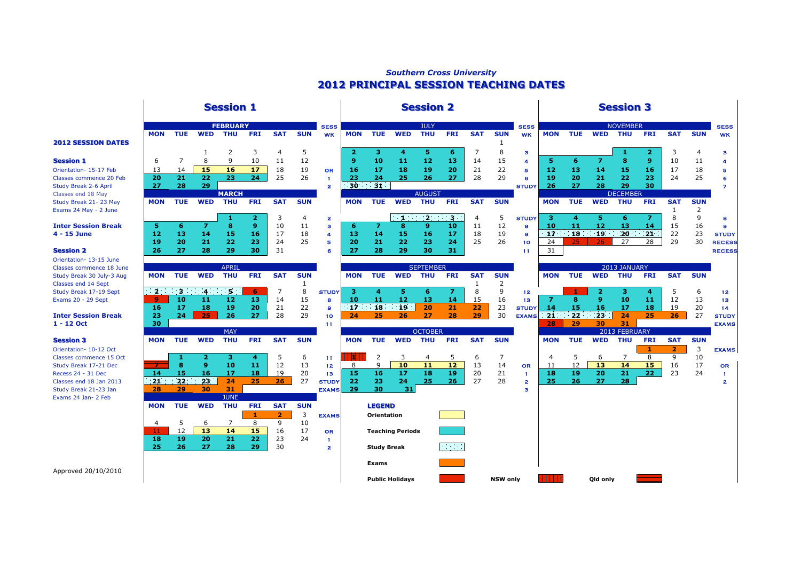## *Southern Cross University* **2012 PRINCIPAL SESSION TEACHING DATES 2012 PRINCIPAL SESSION TEACHING DATES**

Classes end 18 May

Orientation- 13-15 June Classes commence 18 June

Exams 24 Jan- 2 Feb



Approved 20/10/2010